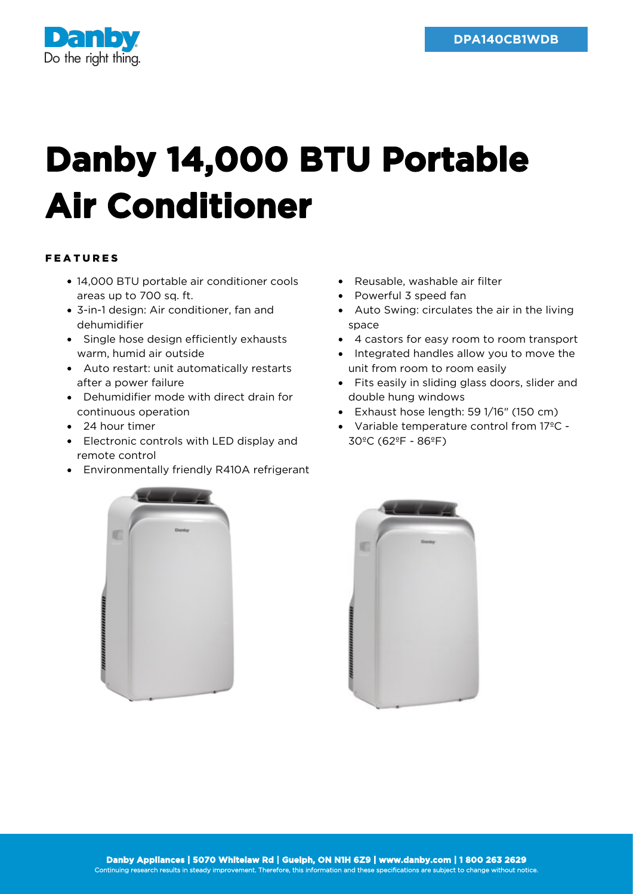

## **Danby 14,000 BTU Portable Air Conditioner**

## FEATURES

- 14,000 BTU portable air conditioner cools areas up to 700 sq. ft.
- 3-in-1 design: Air conditioner, fan and dehumidifier
- Single hose design efficiently exhausts warm, humid air outside
- Auto restart: unit automatically restarts after a power failure
- Dehumidifier mode with direct drain for continuous operation
- 24 hour timer
- Electronic controls with LED display and remote control
- Environmentally friendly R410A refrigerant
- Reusable, washable air filter
- Powerful 3 speed fan
- Auto Swing: circulates the air in the living space
- 4 castors for easy room to room transport
- Integrated handles allow you to move the unit from room to room easily
- Fits easily in sliding glass doors, slider and double hung windows
- Exhaust hose length: 59 1/16" (150 cm)
- Variable temperature control from 17ºC 30ºC (62ºF - 86ºF)